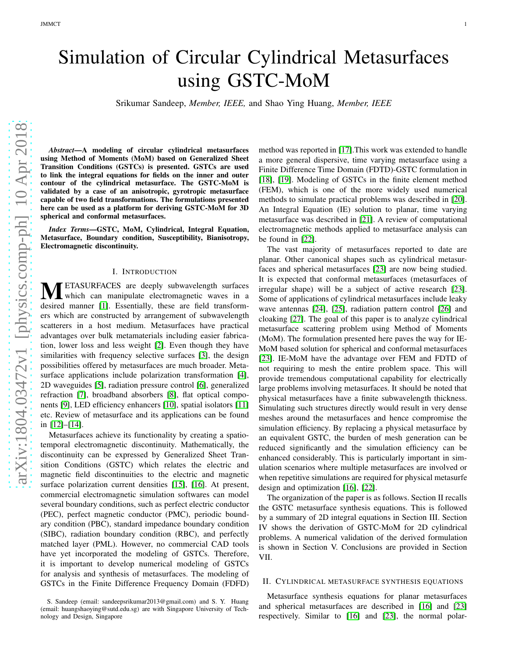# Simulation of Circular Cylindrical Metasurfaces using GSTC-MoM

Srikumar Sandeep, *Member, IEEE,* and Shao Ying Huang, *Member, IEEE*

arXiv:1804.03472v1 [physics.comp-ph] 10 Apr 2018 [arXiv:1804.03472v1 \[physics.comp-ph\] 10 Apr 2018](http://arxiv.org/abs/1804.03472v1)

*Abstract*—A modeling of circular cylindrical metasurfaces using Method of Moments (MoM) based on Generalized Sheet Transition Conditions (GSTCs) is presented. GSTCs are used to link the integral equations for fields on the inner and outer contour of the cylindrical metasurface. The GSTC-MoM is validated by a case of an anisotropic, gyrotropic metasurface capable of two field transformations. The formulations presented here can be used as a platform for deriving GSTC-MoM for 3D spherical and conformal metasurfaces.

*Index Terms*—GSTC, MoM, Cylindrical, Integral Equation, Metasurface, Boundary condition, Susceptibility, Bianisotropy, Electromagnetic discontinuity.

#### I. INTRODUCTION

**METASURFACES** are deeply subwavelength surfaces<br>decired which can manipulate electromagnetic waves in a desired manner [\[1\]](#page-4-0). Essentially, these are field transformers which are constructed by arrangement of subwavelength scatterers in a host medium. Metasurfaces have practical advantages over bulk metamaterials including easier fabrication, lower loss and less weight [\[2\]](#page-4-1). Even though they have similarities with frequency selective surfaces [\[3\]](#page-4-2), the design possibilities offered by metasurfaces are much broader. Meta-surface applications include polarization transformation [\[4\]](#page-4-3), 2D waveguides [\[5\]](#page-4-4), radiation pressure control [\[6\]](#page-4-5), generalized refraction [\[7\]](#page-4-6), broadband absorbers [\[8\]](#page-4-7), flat optical components [\[9\]](#page-4-8), LED efficiency enhancers [\[10\]](#page-4-9), spatial isolators [\[11\]](#page-4-10) etc. Review of metasurface and its applications can be found in [\[12\]](#page-4-11)–[\[14\]](#page-4-12).

Metasurfaces achieve its functionality by creating a spatiotemporal electromagnetic discontinuity. Mathematically, the discontinuity can be expressed by Generalized Sheet Transition Conditions (GSTC) which relates the electric and magnetic field discontinuities to the electric and magnetic surface polarization current densities [\[15\]](#page-4-13), [\[16\]](#page-4-14). At present, commercial electromagnetic simulation softwares can model several boundary conditions, such as perfect electric conductor (PEC), perfect magnetic conductor (PMC), periodic boundary condition (PBC), standard impedance boundary condition (SIBC), radiation boundary condition (RBC), and perfectly matched layer (PML). However, no commercial CAD tools have yet incorporated the modeling of GSTCs. Therefore, it is important to develop numerical modeling of GSTCs for analysis and synthesis of metasurfaces. The modeling of GSTCs in the Finite Difference Frequency Domain (FDFD)

method was reported in [\[17\]](#page-4-15).This work was extended to handle a more general dispersive, time varying metasurface using a Finite Difference Time Domain (FDTD)-GSTC formulation in [\[18\]](#page-4-16), [\[19\]](#page-4-17). Modeling of GSTCs in the finite element method (FEM), which is one of the more widely used numerical methods to simulate practical problems was described in [\[20\]](#page-4-18). An Integral Equation (IE) solution to planar, time varying metasurface was described in [\[21\]](#page-4-19). A review of computational electromagnetic methods applied to metasurface analysis can be found in [\[22\]](#page-5-0).

The vast majority of metasurfaces reported to date are planar. Other canonical shapes such as cylindrical metasurfaces and spherical metasurfaces [\[23\]](#page-5-1) are now being studied. It is expected that conformal metasurfaces (metasurfaces of irregular shape) will be a subject of active research [\[23\]](#page-5-1). Some of applications of cylindrical metasurfaces include leaky wave antennas [\[24\]](#page-5-2), [\[25\]](#page-5-3), radiation pattern control [\[26\]](#page-5-4) and cloaking [\[27\]](#page-5-5). The goal of this paper is to analyze cylindrical metasurface scattering problem using Method of Moments (MoM). The formulation presented here paves the way for IE-MoM based solution for spherical and conformal metasurfaces [\[23\]](#page-5-1). IE-MoM have the advantage over FEM and FDTD of not requiring to mesh the entire problem space. This will provide tremendous computational capability for electrically large problems involving metasurfaces. It should be noted that physical metasurfaces have a finite subwavelength thickness. Simulating such structures directly would result in very dense meshes around the metasurfaces and hence compromise the simulation efficiency. By replacing a physical metasurface by an equivalent GSTC, the burden of mesh generation can be reduced significantly and the simulation efficiency can be enhanced considerably. This is particularly important in simulation scenarios where multiple metasurfaces are involved or when repetitive simulations are required for physical metasurfe design and optimization [\[16\]](#page-4-14), [\[22\]](#page-5-0).

The organization of the paper is as follows. Section II recalls the GSTC metasurface synthesis equations. This is followed by a summary of 2D integral equations in Section III. Section IV shows the derivation of GSTC-MoM for 2D cylindrical problems. A numerical validation of the derived formulation is shown in Section V. Conclusions are provided in Section VII.

#### II. CYLINDRICAL METASURFACE SYNTHESIS EQUATIONS

Metasurface synthesis equations for planar metasurfaces and spherical metasurfaces are described in [\[16\]](#page-4-14) and [\[23\]](#page-5-1) respectively. Similar to [\[16\]](#page-4-14) and [\[23\]](#page-5-1), the normal polar-

S. Sandeep (email: sandeepsrikumar2013@gmail.com) and S. Y. Huang (email: huangshaoying@sutd.edu.sg) are with Singapore University of Technology and Design, Singapore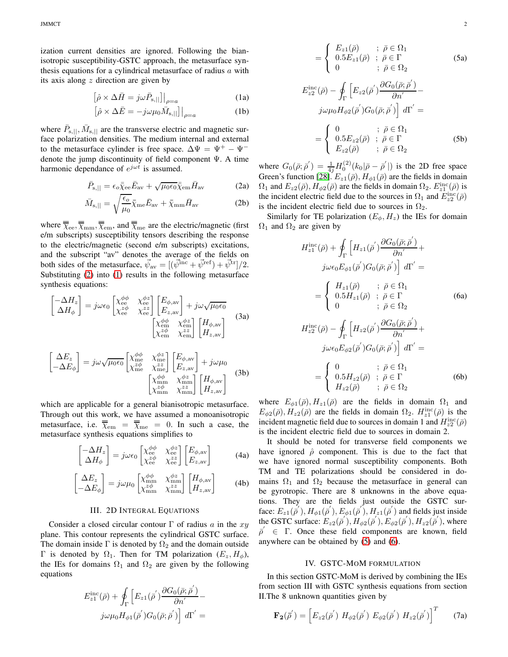ization current densities are ignored. Following the bianisotropic susceptibility-GSTC approach, the metasurface synthesis equations for a cylindrical metasurface of radius  $a$  with its axis along  $z$  direction are given by

<span id="page-1-1"></span>
$$
\left[\hat{\rho} \times \Delta \bar{H} = j\omega \bar{P}_{\rm s,||}\right]\Big|_{\rho=a} \tag{1a}
$$

$$
\left[\hat{\rho} \times \Delta \bar{E} = -j\omega \mu_0 \bar{M}_{\text{s},||}\right]\Big|_{\rho=a} \tag{1b}
$$

where  $\bar{P}_{\rm s,||}, \bar{M}_{\rm s,||}$  are the transverse electric and magnetic surface polarization densities. The medium internal and external to the metasurface cylinder is free space.  $\Delta \Psi = \Psi^+ - \Psi^$ denote the jump discontinuity of field component Ψ. A time harmonic dependance of  $e^{j\omega t}$  is assumed.

$$
\bar{P}_{\rm s,||} = \epsilon_o \bar{\bar{\chi}}_{\rm ee} \bar{E}_{\rm av} + \sqrt{\mu_0 \epsilon_0} \bar{\bar{\chi}}_{\rm em} \bar{H}_{\rm av}
$$
 (2a)

$$
\bar{M}_{\rm s,||} = \sqrt{\frac{\epsilon_o}{\mu_0}} \bar{\bar{\chi}}_{\rm me} \bar{E}_{\rm av} + \bar{\bar{\chi}}_{\rm mm} \bar{H}_{\rm av}
$$
 (2b)

where  $\overline{\overline{\chi}}_{\rm ee}, \overline{\overline{\chi}}_{\rm mm}, \overline{\overline{\chi}}_{\rm em}$ , and  $\overline{\overline{\chi}}_{\rm me}$  are the electric/magnetic (first e/m subscripts) susceptibility tensors describing the response to the electric/magnetic (second e/m subscripts) excitations, and the subscript "av" denotes the average of the fields on both sides of the metasurface,  $\vec{\psi}_{av} = [(\vec{\psi}^{inc} + \vec{\psi}^{ref}) + \vec{\psi}^{tr}]/2$ . Substituting [\(2\)](#page-1-0) into [\(1\)](#page-1-1) results in the following metasurface synthesis equations:

$$
\begin{bmatrix}\n-\Delta H_z \\
\Delta H_{\phi}\n\end{bmatrix} = j\omega\epsilon_0 \begin{bmatrix}\n\chi_{ee}^{\phi\phi} & \chi_{ee}^{\phi z} \\
\chi_{ee}^{\phi} & \chi_{ee}^{zz}\n\end{bmatrix} \begin{bmatrix}\nE_{\phi, \text{av}} \\
E_{z, \text{av}}\n\end{bmatrix} + j\omega\sqrt{\mu_0\epsilon_0} \\
\chi_{\text{em}}^{\phi\phi} & \chi_{\text{em}}^{\phi z}\n\end{bmatrix} \begin{bmatrix}\nH_{\phi, \text{av}} \\
H_{z, \text{av}}\n\end{bmatrix} \tag{3a}
$$
\n
$$
\begin{bmatrix}\n\Delta E_z \\
-\Delta E_{\phi}\n\end{bmatrix} = j\omega\sqrt{\mu_0\epsilon_0} \begin{bmatrix}\n\chi_{\text{me}}^{\phi\phi} & \chi_{\text{me}}^{\phi z} \\
\chi_{\text{me}}^{ze} & \chi_{\text{me}}^{zz}\n\end{bmatrix} \begin{bmatrix}\nE_{\phi, \text{av}} \\
E_{z, \text{av}}\n\end{bmatrix} + j\omega\mu_0 \\
\begin{bmatrix}\n\chi_{\text{mm}}^{\phi\phi} & \chi_{\text{mm}}^{\phi\phi} \\
\chi_{\text{mm}}^{\phi\phi} & \chi_{\text{mm}}^{\phi\phi}\n\end{bmatrix} \begin{bmatrix}\nH_{\phi, \text{av}} \\
H_{z, \text{av}}\n\end{bmatrix} \tag{3b}
$$

which are applicable for a general bianisotropic metasurface. Through out this work, we have assumed a monoanisotropic metasurface, i.e.  $\overline{\overline{\chi}}_{em} = \overline{\overline{\chi}}_{me} = 0$ . In such a case, the metasurface synthesis equations simplifies to

$$
\begin{bmatrix} -\Delta H_z \\ \Delta H_{\phi} \end{bmatrix} = j\omega\epsilon_0 \begin{bmatrix} \chi_{\text{ee}}^{\phi\phi} & \chi_{\text{ee}}^{\phi z} \\ \chi_{\text{ee}}^{z\phi} & \chi_{\text{ee}}^{zz} \end{bmatrix} \begin{bmatrix} E_{\phi,\text{av}} \\ E_{z,\text{av}} \end{bmatrix}
$$
(4a)

$$
\begin{bmatrix}\n\Delta E_z \\
-\Delta E_\phi\n\end{bmatrix} = j\omega\mu_0 \begin{bmatrix}\n\chi_{mn}^{\phi\phi} & \chi_{mn}^{\phi z} \\
\chi_{nm}^{x\phi} & \chi_{nm}^{xz}\n\end{bmatrix} \begin{bmatrix}\nH_{\phi,\text{av}} \\
H_{z,\text{av}}\n\end{bmatrix}
$$
\n(4b)

### III. 2D INTEGRAL EQUATIONS

Consider a closed circular contour  $\Gamma$  of radius a in the xy plane. This contour represents the cylindrical GSTC surface. The domain inside  $\Gamma$  is denoted by  $\Omega_2$  and the domain outside Γ is denoted by  $Ω_1$ . Then for TM polarization  $(E_z, H_φ)$ , the IEs for domains  $\Omega_1$  and  $\Omega_2$  are given by the following equations

<span id="page-1-2"></span>
$$
E_{z1}^{\text{inc}}(\bar{\rho}) + \oint_{\Gamma} \left[ E_{z1}(\bar{\rho}') \frac{\partial G_0(\bar{\rho}; \bar{\rho}')}{\partial n'} - j\omega\mu_0 H_{\phi 1}(\bar{\rho}') G_0(\bar{\rho}; \bar{\rho}') \right] d\Gamma' =
$$

$$
= \begin{cases} E_{z1}(\bar{\rho}) & ; \ \bar{\rho} \in \Omega_1 \\ 0.5E_{z1}(\bar{\rho}) & ; \ \bar{\rho} \in \Gamma \\ 0 & ; \ \bar{\rho} \in \Omega_2 \end{cases}
$$
(5a)  

$$
E_{z2}^{\text{inc}}(\bar{\rho}) - \oint_{\Gamma} \left[ E_{z2}(\bar{\rho}') \frac{\partial G_0(\bar{\rho}; \bar{\rho}')}{\partial n'} - j\omega \mu_0 H_{\phi2}(\bar{\rho}') G_0(\bar{\rho}; \bar{\rho}') \right] d\Gamma' =
$$

$$
= \begin{cases} 0 & ; \ \bar{\rho} \in \Omega_1 \\ 0.5E_{z2}(\bar{\rho}) & ; \ \bar{\rho} \in \Gamma \\ E_{z2}(\bar{\rho}) & ; \ \bar{\rho} \in \Omega_2 \end{cases}
$$
(5b)

<span id="page-1-0"></span>where  $G_0(\bar{\rho}; \bar{\rho}') = \frac{1}{4j} H_0^{(2)}(k_0|\bar{\rho} - \bar{\rho}')$  is the 2D free space Green's function [\[28\]](#page-5-6).  $E_{z1}(\bar{\rho}), H_{\phi 1}(\bar{\rho})$  are the fields in domain  $\Omega_1$  and  $E_{z2}(\bar{\rho}), H_{\phi 2}(\bar{\rho})$  are the fields in domain  $\Omega_2$ .  $E_{z1}^{\text{inc}}(\bar{\rho})$  is the incident electric field due to the sources in  $\Omega_1$  and  $E_{z2}^{\text{inc}}(\bar{\rho})$ is the incident electric field due to sources in  $\Omega_2$ .

Similarly for TE polarization  $(E_{\phi}, H_z)$  the IEs for domain  $\Omega_1$  and  $\Omega_2$  are given by

<span id="page-1-3"></span>
$$
H_{z1}^{\text{inc}}(\bar{\rho}) + \oint_{\Gamma} \left[ H_{z1}(\bar{\rho}') \frac{\partial G_0(\bar{\rho}; \bar{\rho}')}{\partial n'} + \right. \\
\left. j\omega \epsilon_0 E_{\phi 1}(\bar{\rho}') G_0(\bar{\rho}; \bar{\rho}') \right] d\Gamma' =
$$
\n
$$
= \begin{cases} H_{z1}(\bar{\rho}) & ; \ \bar{\rho} \in \Omega_1 \\ 0.5 H_{z1}(\bar{\rho}) & ; \ \bar{\rho} \in \Gamma \\ 0 & ; \ \bar{\rho} \in \Omega_2 \end{cases} \qquad (6a)
$$
\n
$$
H_{z2}^{\text{inc}}(\bar{\rho}) - \oint_{\Gamma} \left[ H_{z2}(\bar{\rho}') \frac{\partial G_0(\bar{\rho}; \bar{\rho}')}{\partial n'} + \right. \\
\left. j\omega \epsilon_0 E_{\phi 2}(\bar{\rho}') G_0(\bar{\rho}; \bar{\rho}') \right] d\Gamma' =
$$
\n
$$
= \begin{cases} 0 & ; \ \bar{\rho} \in \Omega_1 \\ 0.5 H_{z2}(\bar{\rho}) & ; \ \bar{\rho} \in \Gamma \\ H_{z2}(\bar{\rho}) & ; \ \bar{\rho} \in \Omega_2 \end{cases} \qquad (6b)
$$

where  $E_{\phi 1}(\bar{\rho}), H_{z1}(\bar{\rho})$  are the fields in domain  $\Omega_1$  and  $E_{\phi 2}(\bar{\rho}), H_{z2}(\bar{\rho})$  are the fields in domain  $\Omega_2$ .  $H_{z1}^{\text{inc}}(\bar{\rho})$  is the incident magnetic field due to sources in domain 1 and  $H_{z2}^{\text{inc}}(\bar{\rho})$ is the incident electric field due to sources in domain 2.

<span id="page-1-5"></span>It should be noted for transverse field components we have ignored  $\hat{\rho}$  component. This is due to the fact that we have ignored normal susceptibility components. Both TM and TE polarizations should be considered in domains  $\Omega_1$  and  $\Omega_2$  because the metasurface in general can be gyrotropic. There are 8 unknowns in the above equations. They are the fields just outside the GSTC surface:  $E_{z1}(\overline{\rho}'), H_{\phi 1}(\overline{\rho}'), E_{\phi 1}(\overline{\rho}'), H_{z1}(\overline{\rho}')$  and fields just inside the GSTC surface:  $E_{z2}(\bar{\rho}'), H_{\phi 2}(\bar{\rho}'), E_{\phi 2}(\bar{\rho}'), H_{z2}(\bar{\rho}'),$  where  $\bar{p}' \in \Gamma$ . Once these field components are known, field anywhere can be obtained by [\(5\)](#page-1-2) and [\(6\)](#page-1-3).

#### <span id="page-1-4"></span>IV. GSTC-MOM FORMULATION

In this section GSTC-MoM is derived by combining the IEs from section III with GSTC synthesis equations from section II.The 8 unknown quantities given by

$$
\mathbf{F}_{2}(\bar{\rho}') = \left[ E_{z2}(\bar{\rho}') \ H_{\phi 2}(\bar{\rho}') \ E_{\phi 2}(\bar{\rho}') \ H_{z2}(\bar{\rho}') \right]^T \tag{7a}
$$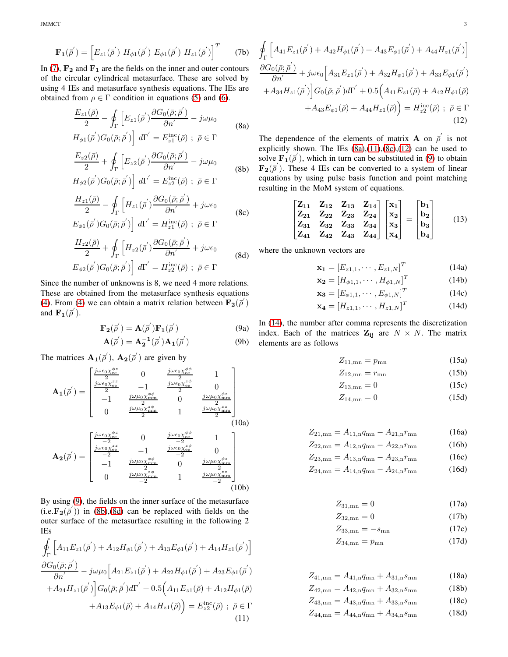$JMMCT$  3

$$
\mathbf{F}_{1}(\bar{\rho}') = \left[ E_{z1}(\bar{\rho}') H_{\phi 1}(\bar{\rho}') E_{\phi 1}(\bar{\rho}') H_{z1}(\bar{\rho}') \right]^{T} (7b)
$$

In [\(7\)](#page-1-4),  $\mathbf{F_2}$  and  $\mathbf{F_1}$  are the fields on the inner and outer contours of the circular cylindrical metasurface. These are solved by using 4 IEs and metasurface synthesis equations. The IEs are obtained from  $\rho \in \Gamma$  condition in equations [\(5\)](#page-1-2) and [\(6\)](#page-1-3).

<span id="page-2-3"></span>
$$
\frac{E_{z1}(\bar{\rho})}{2} - \oint_{\Gamma} \left[ E_{z1}(\bar{\rho}') \frac{\partial G_0(\bar{\rho}; \bar{\rho}')}{\partial n'} - j\omega\mu_0 \right]
$$
\n
$$
H_{\phi 1}(\bar{\rho}') G_0(\bar{\rho}; \bar{\rho}') \right] d\Gamma' = E_{z1}^{\text{inc}}(\bar{\rho}) \; ; \; \bar{\rho} \in \Gamma
$$
\n
$$
\frac{E_{z2}(\bar{\rho})}{2} + \oint_{\Gamma} \left[ E_{z2}(\bar{\rho}') \frac{\partial G_0(\bar{\rho}; \bar{\rho}')}{\partial n'} - j\omega\mu_0 \right]
$$
\n(8b)

<span id="page-2-1"></span>
$$
H_{\phi 2}(\overline{\rho}')G_0(\overline{\rho}; \overline{\rho}')\,\bigg]\, d\Gamma' = E_{z2}^{\rm inc}(\overline{\rho}) \ ; \ \overline{\rho} \in \Gamma
$$

$$
\frac{H_{z1}(\bar{\rho})}{2} - \oint_{\Gamma} \left[ H_{z1}(\bar{\rho}') \frac{\partial G_0(\bar{\rho}; \bar{\rho}')}{\partial n'} + j \omega \epsilon_0 \right]
$$
(8c)

<span id="page-2-5"></span>
$$
E_{\phi 1}(\overline{\rho}')G_0(\overline{\rho};\overline{\rho}')\Big] \, d\Gamma' = H^{\rm inc}_{z1}(\overline{\rho}) \, ; \ \overline{\rho} \in \Gamma
$$

$$
\frac{H_{z2}(\bar{\rho})}{2} + \oint_{\Gamma} \left[ H_{z2}(\bar{\rho}') \frac{\partial G_0(\bar{\rho}; \bar{\rho}')}{\partial n'} + j \omega \epsilon_0 \right]
$$
\n
$$
E_{\phi 2}(\bar{\rho}') G_0(\bar{\rho}; \bar{\rho}') \right] d\Gamma' = H_{z2}^{\text{inc}}(\bar{\rho}) \ ; \ \bar{\rho} \in \Gamma
$$
\n(8d)

<span id="page-2-2"></span>Since the number of unknowns is 8, we need 4 more relations. These are obtained from the metasurface synthesis equations [\(4\)](#page-1-5). From [\(4\)](#page-1-5) we can obtain a matrix relation between  $\mathbf{F}_{2}(\vec{\rho}')$ and  $\mathbf{F}_{1}(\overline{\rho}')$ .

<span id="page-2-0"></span>
$$
\mathbf{F}_2(\overline{\rho}') = \mathbf{A}(\overline{\rho}') \mathbf{F}_1(\overline{\rho}')
$$
(9a)  

$$
\mathbf{A}(\overline{\rho}') = \mathbf{A}^{-1}(\overline{\rho}') \mathbf{A}(\overline{\rho}')
$$
(9b)

$$
\mathbf{A}(\overline{\rho}') = \mathbf{A}_2^{-1}(\overline{\rho}')\mathbf{A}_1(\overline{\rho}')
$$
 (9b)

The matrices  $\mathbf{A_1}(\vec{\rho}')$ ,  $\mathbf{A_2}(\vec{\rho}')$  are given by

$$
\mathbf{A}_{1}(\vec{\rho}') = \begin{bmatrix}\n\frac{j\omega\epsilon_{0}\chi_{ee}^{\phi\phi}}{2} & 0 & \frac{j\omega\epsilon_{0}\chi_{ee}^{\phi\phi}}{2} & 1 \\
\frac{j\omega\epsilon_{0}\chi_{ee}^{z\bar{z}}}{2} & -1 & \frac{j\omega\epsilon_{0}\chi_{ee}^{\phi\phi}}{2} & 0 \\
-1 & \frac{j\omega\mu_{0}\chi_{mm}^{\phi\phi}}{2} & 0 & \frac{j\omega\mu_{0}\chi_{mm}^{\phi\bar{z}}}{2} \\
0 & \frac{j\omega\mu_{0}\chi_{mm}^{\phi\phi}}{2} & 1 & \frac{j\omega\mu_{0}\chi_{mm}^{\phi\bar{z}}}{2}\n\end{bmatrix}
$$
\n
$$
\mathbf{A}_{2}(\vec{\rho}') = \begin{bmatrix}\n\frac{j\omega\epsilon_{0}\chi_{ee}^{\phi\phi}}{-2} & 0 & \frac{j\omega\epsilon_{0}\chi_{ee}^{\phi\phi}}{-2} & 1 \\
-\frac{j\omega\epsilon_{0}\chi_{ee}^{\phi\phi}}{2} & -1 & \frac{j\omega\epsilon_{0}\chi_{ee}^{\phi\phi}}{-2} & 0 \\
-1 & \frac{j\omega\mu_{0}\chi_{mm}^{\phi\phi}}{-2} & 0 & \frac{j\omega\mu_{0}\chi_{mm}^{\phi\bar{z}}}{2}\n\end{bmatrix}
$$
\n
$$
\frac{j\omega\mu_{0}\chi_{mm}^{\phi\bar{z}}}{2} & 1 & \frac{j\omega\mu_{0}\chi_{mm}^{\phi\bar{z}}}{2} & 0
$$
\n
$$
\frac{j\omega\mu_{0}\chi_{mm}^{\phi\bar{z}}}{2} & 1 & \frac{j\omega\mu_{0}\chi_{mm}^{\phi\bar{z}}}{2}\n\end{bmatrix}
$$
\n
$$
(10b)
$$

By using [\(9\)](#page-2-0), the fields on the inner surface of the metasurface  $(i.e.$ **F**<sub>2</sub> $(\overrightarrow{\rho}^{\prime})$ ) in [\(8b\)](#page-2-1),[\(8d\)](#page-2-2) can be replaced with fields on the outer surface of the metasurface resulting in the following 2 IEs

<span id="page-2-4"></span>
$$
\oint_{\Gamma} \left[ A_{11} E_{z1}(\overline{\rho}') + A_{12} H_{\phi 1}(\overline{\rho}') + A_{13} E_{\phi 1}(\overline{\rho}') + A_{14} H_{z1}(\overline{\rho}') \right] \n\frac{\partial G_0(\overline{\rho}; \overline{\rho}')}{\partial n'} - j\omega\mu_0 \left[ A_{21} E_{z1}(\overline{\rho}') + A_{22} H_{\phi 1}(\overline{\rho}') + A_{23} E_{\phi 1}(\overline{\rho}') \right. \n\left. + A_{24} H_{z1}(\overline{\rho}') \right] G_0(\overline{\rho}; \overline{\rho}') d\Gamma' + 0.5 \left( A_{11} E_{z1}(\overline{\rho}) + A_{12} H_{\phi 1}(\overline{\rho}) + A_{13} E_{\phi 1}(\overline{\rho}) + A_{14} H_{z1}(\overline{\rho}) \right) = E_{z2}^{\text{inc}}(\overline{\rho}) ; \ \overline{\rho} \in \Gamma
$$
\n(11)

<span id="page-2-6"></span>
$$
\oint_{\Gamma} \left[ A_{41} E_{z1}(\bar{\rho}') + A_{42} H_{\phi 1}(\bar{\rho}') + A_{43} E_{\phi 1}(\bar{\rho}') + A_{44} H_{z1}(\bar{\rho}') \right] \n\frac{\partial G_0(\bar{\rho}; \bar{\rho}')}{\partial n'} + j \omega \epsilon_0 \left[ A_{31} E_{z1}(\bar{\rho}') + A_{32} H_{\phi 1}(\bar{\rho}') + A_{33} E_{\phi 1}(\bar{\rho}') \right] \n+ A_{34} H_{z1}(\bar{\rho}') \left] G_0(\bar{\rho}; \bar{\rho}') d\Gamma' + 0.5 \left( A_{41} E_{z1}(\bar{\rho}) + A_{42} H_{\phi 1}(\bar{\rho}) + A_{43} E_{\phi 1}(\bar{\rho}) + A_{44} H_{z1}(\bar{\rho}) \right) = H_{z2}^{\rm inc}(\bar{\rho}) ; \ \bar{\rho} \in \Gamma
$$
\n(12)

The dependence of the elements of matrix **A** on  $\overline{\rho}'$  is not explicitly shown. The IEs  $(8a)$ , $(11)$ , $(8c)$ , $(12)$  can be used to solve  $\mathbf{F}_{1}(\overline{\rho}')$ , which in turn can be substituted in [\(9\)](#page-2-0) to obtain  $\mathbf{F}_{2}(\vec{\rho}')$ . These 4 IEs can be converted to a system of linear equations by using pulse basis function and point matching resulting in the MoM system of equations.

$$
\begin{bmatrix} Z_{11} & Z_{12} & Z_{13} & Z_{14} \\ Z_{21} & Z_{22} & Z_{23} & Z_{24} \\ Z_{31} & Z_{32} & Z_{33} & Z_{34} \\ Z_{41} & Z_{42} & Z_{43} & Z_{44} \end{bmatrix} \begin{bmatrix} x_1 \\ x_2 \\ x_3 \\ x_4 \end{bmatrix} = \begin{bmatrix} b_1 \\ b_2 \\ b_3 \\ b_4 \end{bmatrix}
$$
(13)

where the unknown vectors are

<span id="page-2-7"></span>
$$
\mathbf{x_1} = [E_{z1,1}, \cdots, E_{z1,N}]^T
$$
 (14a)

$$
\mathbf{x_2} = [H_{\phi 1,1}, \cdots, H_{\phi 1,N}]^T
$$
 (14b)

$$
\mathbf{x_3} = [E_{\phi 1,1}, \cdots, E_{\phi 1,N}]^T
$$
 (14c)

$$
\mathbf{x_4} = [H_{z1,1}, \cdots, H_{z1,N}]^T
$$
 (14d)

In [\(14\)](#page-2-7), the number after comma represents the discretization index. Each of the matrices  $\mathbf{Z}_{ij}$  are  $N \times N$ . The matrix elements are as follows

$$
Z_{11,\text{mn}} = p_{\text{mn}} \tag{15a}
$$

$$
Z_{12,\text{mn}} = r_{\text{mn}} \tag{15b}
$$

$$
Z_{13,\text{mn}} = 0\tag{15c}
$$

$$
Z_{14,\text{mn}} = 0\tag{15d}
$$

$$
Z_{21, \text{mn}} = A_{11, \text{n}} q_{\text{mn}} - A_{21, \text{n}} r_{\text{mn}} \tag{16a}
$$

$$
Z_{22, \text{mn}} = A_{12, \text{n}} q_{\text{mn}} - A_{22, \text{n}} r_{\text{mn}} \tag{16b}
$$

$$
Z_{23,\text{mn}} = A_{13,\text{n}}q_{\text{mn}} - A_{23,\text{n}}r_{\text{mn}} \tag{16c}
$$

$$
Z_{24,\text{mn}} = A_{14,\text{n}}q_{\text{mn}} - A_{24,\text{n}}r_{\text{mn}} \tag{16d}
$$

$$
Z_{31,\text{mn}} = 0\tag{17a}
$$

$$
Z_{32,\text{mn}} = 0\tag{17b}
$$

$$
Z_{33,\text{mn}} = -s_{\text{mn}}\tag{17c}
$$

$$
Z_{34,\text{mn}} = p_{\text{mn}} \tag{17d}
$$

$$
Z_{41,\text{mn}} = A_{41,\text{n}}q_{\text{mn}} + A_{31,\text{n}}s_{\text{mn}} \tag{18a}
$$

$$
Z_{42, \text{mn}} = A_{42, \text{n}} q_{\text{mn}} + A_{32, \text{n}} s_{\text{mn}} \tag{18b}
$$

$$
Z_{43,\text{mn}} = A_{43,\text{n}} q_{\text{mn}} + A_{33,\text{n}} s_{\text{mn}} \tag{18c}
$$

 $Z_{44,\text{mn}} = A_{44,n}q_{\text{mn}} + A_{34,n}s_{\text{mn}}$  (18d)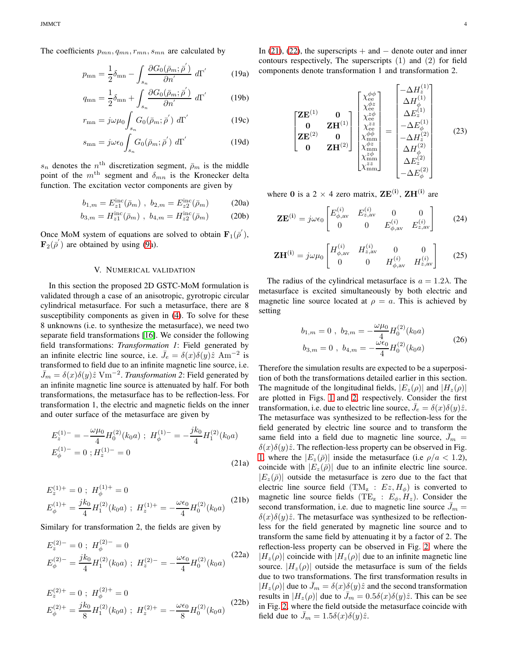The coefficients  $p_{mn}, q_{mn}, r_{mn}, s_{mn}$  are calculated by

$$
p_{mn} = \frac{1}{2}\delta_{mn} - \int_{s_n} \frac{\partial G_0(\bar{\rho}_m; \bar{\rho}')}{\partial n'} d\Gamma'
$$
 (19a)

$$
q_{\rm mn} = \frac{1}{2}\delta_{\rm mn} + \int_{s_n} \frac{\partial G_0(\bar{\rho}_m; \bar{\rho})}{\partial n'} d\Gamma' \tag{19b}
$$

$$
r_{mn} = j\omega\mu_0 \int_{s_n} G_0(\bar{\rho}_m; \bar{\rho}') d\Gamma'
$$
 (19c)

$$
s_{\rm mn} = j\omega\epsilon_0 \int_{s_n} G_0(\bar{\rho}_m; \bar{\rho}') d\Gamma'
$$
 (19d)

 $s_n$  denotes the  $n<sup>th</sup>$  discretization segment,  $\bar{\rho}_m$  is the middle point of the  $m<sup>th</sup>$  segment and  $\delta_{mn}$  is the Kronecker delta function. The excitation vector components are given by

$$
b_{1,m} = E_{z1}^{\rm inc}(\bar{\rho}_m) , b_{2,m} = E_{z2}^{\rm inc}(\bar{\rho}_m)
$$
 (20a)

$$
b_{3,m} = H_{z1}^{\rm inc}(\bar{\rho}_m) , b_{4,m} = H_{z2}^{\rm inc}(\bar{\rho}_m)
$$
 (20b)

Once MoM system of equations are solved to obtain  $\mathbf{F}_1(\overline{\rho}')$ ,  $\mathbf{F}_2(\bar{\rho}')$  are obtained by using [\(9a](#page-2-0)).

## V. NUMERICAL VALIDATION

In this section the proposed 2D GSTC-MoM formulation is validated through a case of an anisotropic, gyrotropic circular cylindrical metasurface. For such a metasurface, there are 8 susceptibility components as given in  $(4)$ . To solve for these 8 unknowns (i.e. to synthesize the metasurface), we need two separate field transformations [\[16\]](#page-4-14). We consider the following field transformations: *Transformation 1*: Field generated by an infinite electric line source, i.e.  $\bar{J}_e = \delta(x)\delta(y)\hat{z}$  Am<sup>-2</sup> is transformed to field due to an infinite magnetic line source, i.e.  $\bar{J}_m = \delta(x)\delta(y)\hat{z} \text{ Vm}^{-2}$ . *Transformation* 2: Field generated by an infinite magnetic line source is attenuated by half. For both transformations, the metasurface has to be reflection-less. For transformation 1, the electric and magnetic fields on the inner and outer surface of the metasurface are given by

$$
E_z^{(1)-} = -\frac{\omega\mu_0}{4} H_0^{(2)}(k_0 a) ; H_{\phi}^{(1)-} = -\frac{j k_0}{4} H_1^{(2)}(k_0 a)
$$
  

$$
E_{\phi}^{(1)-} = 0 ; H_z^{(1)-} = 0
$$
 (21a)

$$
E_z^{(1)+} = 0 \; ; \; H_{\phi}^{(1)+} = 0
$$
  

$$
E_{\phi}^{(1)+} = \frac{jk_0}{4} H_1^{(2)}(k_0 a) \; ; \; H_z^{(1)+} = -\frac{\omega \epsilon_0}{4} H_0^{(2)}(k_0 a) \; \quad (21b)
$$

Similary for transformation 2, the fields are given by

$$
E_z^{(2)-} = 0 \; ; \; H_{\phi}^{(2)-} = 0
$$
  

$$
E_{\phi}^{(2)-} = \frac{jk_0}{4} H_1^{(2)}(k_0 a) \; ; \; H_z^{(2)-} = -\frac{\omega \epsilon_0}{4} H_0^{(2)}(k_0 a) \qquad (22a)
$$

$$
E_z^{(2)+} = 0 \; ; \; H_{\phi}^{(2)+} = 0
$$
  

$$
E_{\phi}^{(2)+} = \frac{jk_0}{8} H_1^{(2)}(k_0 a) \; ; \; H_z^{(2)+} = -\frac{\omega \epsilon_0}{8} H_0^{(2)}(k_0 a) \qquad (22b)
$$

In [\(21\)](#page-3-0), [\(22\)](#page-3-1), the superscripts  $+$  and  $-$  denote outer and inner contours respectively, The superscripts (1) and (2) for field components denote transformation 1 and transformation 2.

$$
\begin{bmatrix} \mathbf{Z}\mathbf{E}^{(1)} & \mathbf{0} \\ \mathbf{0} & \mathbf{Z}\mathbf{H}^{(1)} \\ \mathbf{Z}\mathbf{E}^{(2)} & \mathbf{0} \\ \mathbf{0} & \mathbf{Z}\mathbf{H}^{(2)} \end{bmatrix} \begin{bmatrix} \chi_{ee}^{\phi\phi} \\ \chi_{ee}^{\phi\phi} \\ \chi_{ee}^{\chi\phi} \\ \chi_{ee}^{\chi\phi} \\ \chi_{\text{mm}}^{\phi\phi} \\ \chi_{\text{mm}}^{\phi\phi} \\ \chi_{\text{mm}}^{\phi\phi} \\ \chi_{\text{mm}}^{\chi\phi} \end{bmatrix} = \begin{bmatrix} -\Delta H_z^{(1)} \\ \Delta H_{\phi}^{(1)} \\ \Delta E_z^{(1)} \\ -\Delta E_{\phi}^{(2)} \\ \Delta H_{\phi}^{(2)} \\ \Delta E_z^{(2)} \\ -\Delta E_{\phi}^{(2)} \end{bmatrix}
$$
(23)

where 0 is a 2  $\times$  4 zero matrix,  $\mathbf{ZE}^{(i)}$ ,  $\mathbf{ZH}^{(i)}$  are

$$
\mathbf{ZE}^{(i)} = j\omega\epsilon_0 \begin{bmatrix} E_{\phi,\text{av}}^{(i)} & E_{z,\text{av}}^{(i)} & 0 & 0\\ 0 & 0 & E_{\phi,\text{av}}^{(i)} & E_{z,\text{av}}^{(i)} \end{bmatrix} \tag{24}
$$

$$
\mathbf{ZH}^{(i)} = j\omega\mu_0 \begin{bmatrix} H_{\phi,\text{av}}^{(i)} & H_{z,\text{av}}^{(i)} & 0 & 0 \\ 0 & 0 & H_{\phi,\text{av}}^{(i)} & H_{z,\text{av}}^{(i)} \end{bmatrix}
$$
 (25)

The radius of the cylindrical metasurface is  $a = 1.2\lambda$ . The metasurface is excited simultaneously by both electric and magnetic line source located at  $\rho = a$ . This is achieved by setting

$$
b_{1,m} = 0, b_{2,m} = -\frac{\omega \mu_0}{4} H_0^{(2)}(k_0 a)
$$
  

$$
b_{3,m} = 0, b_{4,m} = -\frac{\omega \epsilon_0}{4} H_0^{(2)}(k_0 a)
$$
 (26)

<span id="page-3-1"></span><span id="page-3-0"></span>Therefore the simulation results are expected to be a superposition of both the transformations detailed earlier in this section. The magnitude of the longitudinal fields,  $|E_z(\rho)|$  and  $|H_z(\rho)|$ are plotted in Figs. [1](#page-4-20) and [2,](#page-4-21) respectively. Consider the first transformation, i.e. due to electric line source,  $\bar{J}_e = \delta(x)\delta(y)\hat{z}$ . The metasurface was synthesized to be reflection-less for the field generated by electric line source and to transform the same field into a field due to magnetic line source,  $J_m =$  $\delta(x)\delta(y)\hat{z}$ . The reflection-less property can be observed in Fig. [1,](#page-4-20) where the  $|E_z(\bar{\rho})|$  inside the metasurface (i.e  $\rho/a < 1.2$ ), coincide with  $|E_z(\bar{\rho})|$  due to an infinite electric line source.  $|E_z(\bar{\rho})|$  outside the metasurface is zero due to the fact that electric line source field  $(TM_z : Ez, H_{\phi})$  is converted to magnetic line source fields (TE<sub>z</sub> :  $E_{\phi}$ ,  $H_z$ ). Consider the second transformation, i.e. due to magnetic line source  $J_m =$  $\delta(x)\delta(y)\hat{z}$ . The metasurface was synthesized to be reflectionless for the field generated by magnetic line source and to transform the same field by attenuating it by a factor of 2. The reflection-less property can be observed in Fig. [2,](#page-4-21) where the  $|H_z(\rho)|$  coincide with  $|H_z(\rho)|$  due to an infinite magnetic line source.  $|H_z(\rho)|$  outside the metasurface is sum of the fields due to two transformations. The first transformation results in  $|H_z(\rho)|$  due to  $\bar{J}_m = \delta(x)\delta(y)\hat{z}$  and the second transformation results in  $|H_z(\rho)|$  due to  $J_m = 0.5\delta(x)\delta(y)\hat{z}$ . This can be see in Fig. [2,](#page-4-21) where the field outside the metasurface coincide with field due to  $\bar{J}_m = 1.5\delta(x)\delta(y)\hat{z}$ .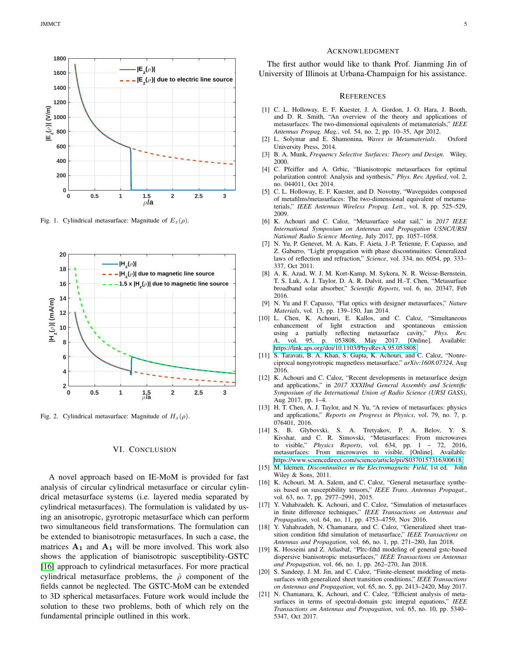

<span id="page-4-20"></span>Fig. 1. Cylindrical metasurface: Magnitude of  $E_z(\rho)$ .



<span id="page-4-21"></span>Fig. 2. Cylindrical metasurface: Magnitude of  $H_z(\rho)$ .

# VI. CONCLUSION

A novel approach based on IE-MoM is provided for fast analysis of circular cylindrical metasurface or circular cylindrical metasurface systems (i.e. layered media separated by cylindrical metasurfaces). The formulation is validated by using an anisotropic, gyrotropic metasurface which can perform two simultaneous field transformations. The formulation can be extended to bianisotropic metasurfaces. In such a case, the matrices  $A_1$  and  $A_1$  will be more involved. This work also shows the application of bianisotropic susceptibility-GSTC [\[16\]](#page-4-14) approach to cylindrical metasurfaces. For more practical cylindrical metasurface problems, the  $\hat{\rho}$  component of the fields cannot be neglected. The GSTC-MoM can be extended to 3D spherical metasurfaces. Future work would include the solution to these two problems, both of which rely on the fundamental principle outlined in this work.

#### ACKNOWLEDGMENT

The first author would like to thank Prof. Jianming Jin of University of Illinois at Urbana-Champaign for his assistance.

#### **REFERENCES**

- <span id="page-4-0"></span>[1] C. L. Holloway, E. F. Kuester, J. A. Gordon, J. O. Hara, J. Booth, and D. R. Smith, "An overview of the theory and applications of metasurfaces: The two-dimensional equivalents of metamaterials," *IEEE Antennas Propag. Mag.*, vol. 54, no. 2, pp. 10–35, Apr 2012.
- <span id="page-4-1"></span>[2] L. Solymar and E. Shamonina, *Waves in Metamaterials*. Oxford University Press, 2014.
- <span id="page-4-2"></span>[3] B. A. Munk, *Frequency Selective Surfaces: Theory and Design*. Wiley, 2000.
- <span id="page-4-3"></span>[4] C. Pfeiffer and A. Grbic, "Bianisotropic metasurfaces for optimal polarization control: Analysis and synthesis," *Phys. Rev. Applied*, vol. 2, no. 044011, Oct 2014.
- <span id="page-4-4"></span>[5] C. L. Holloway, E. F. Kuester, and D. Novotny, "Waveguides composed of metafilms/metasurfaces: The two-dimensional equivalent of metamaterials," *IEEE Antennas Wireless Propag. Lett.*, vol. 8, pp. 525–529, 2009.
- <span id="page-4-5"></span>[6] K. Achouri and C. Caloz, "Metasurface solar sail," in *2017 IEEE International Symposium on Antennas and Propagation USNC/URSI National Radio Science Meeting*, July 2017, pp. 1057–1058.
- <span id="page-4-6"></span>[7] N. Yu, P. Genevet, M. A. Kats, F. Aieta, J.-P. Tetienne, F. Capasso, and Z. Gaburro, "Light propagation with phase discontinuities: Generalized laws of reflection and refraction," *Science*, vol. 334, no. 6054, pp. 333– 337, Oct 2011.
- <span id="page-4-7"></span>[8] A. K. Azad, W. J. M. Kort-Kamp, M. Sykora, N. R. Weisse-Bernstein, T. S. Luk, A. J. Taylor, D. A. R. Dalvit, and H.-T. Chen, "Metasurface broadband solar absorber," *Scientific Reports*, vol. 6, no. 20347, Feb 2016.
- <span id="page-4-8"></span>[9] N. Yu and F. Capasso, "Flat optics with designer metasurfaces," *Nature Materials*, vol. 13, pp. 139–150, Jan 2014.
- <span id="page-4-9"></span>[10] L. Chen, K. Achouri, E. Kallos, and C. Caloz, "Simultaneous enhancement of light extraction and spontaneous emission using a partially reflecting metasurface cavity," Phys. Rev. using a partially reflecting metasurface cavity," *A*, vol. 95, p. 053808, May 2017. [Online]. Available: <https://link.aps.org/doi/10.1103/PhysRevA.95.053808>
- <span id="page-4-10"></span>[11] S. Taravati, B. A. Khan, S. Gupta, K. Achouri, and C. Caloz, "Nonreciprocal nongyrotropic magnetless metasurface," *arXiv:1608.07324*, Aug 2016.
- <span id="page-4-11"></span>[12] K. Achouri and C. Caloz, "Recent developments in metasurface design and applications," in *2017 XXXIInd General Assembly and Scientific Symposium of the International Union of Radio Science (URSI GASS)*, Aug 2017, pp. 1–4.
- [13] H. T. Chen, A. J. Taylor, and N. Yu, "A review of metasurfaces: physics and applications," *Reports on Progress in Physics*, vol. 79, no. 7, p. 076401, 2016.
- <span id="page-4-12"></span>[14] S. B. Glybovski, S. A. Tretyakov, P. A. Belov, Y. S. Kivshar, and C. R. Simovski, "Metasurfaces: From microwaves to visible," *Physics Reports*, vol. 634, pp. 1 – 72, 2016, metasurfaces: From microwaves to visible. [Online]. Available: <https://www.sciencedirect.com/science/article/pii/S0370157316300618>
- <span id="page-4-13"></span>[15] M. Idemen, *Discontinuities in the Electromagnetic Field*, 1st ed. John Wiley & Sons, 2011.
- <span id="page-4-14"></span>[16] K. Achouri, M. A. Salem, and C. Caloz, "General metasurface synthesis based on susceptibility tensors," *IEEE Trans. Antennas Propagat.*, vol. 63, no. 7, pp. 2977–2991, 2015.
- <span id="page-4-15"></span>[17] Y. Vahabzadeh, K. Achouri, and C. Caloz, "Simulation of metasurfaces in finite difference techniques," *IEEE Transactions on Antennas and Propagation*, vol. 64, no. 11, pp. 4753–4759, Nov 2016.
- <span id="page-4-16"></span>[18] Y. Vahabzadeh, N. Chamanara, and C. Caloz, "Generalized sheet transition condition fdtd simulation of metasurface," *IEEE Transactions on Antennas and Propagation*, vol. 66, no. 1, pp. 271–280, Jan 2018.
- <span id="page-4-17"></span>[19] K. Hosseini and Z. Atlasbaf, "Plrc-fdtd modeling of general gstc-based dispersive bianisotropic metasurfaces," *IEEE Transactions on Antennas and Propagation*, vol. 66, no. 1, pp. 262–270, Jan 2018.
- <span id="page-4-18"></span>[20] S. Sandeep, J. M. Jin, and C. Caloz, "Finite-element modeling of metasurfaces with generalized sheet transition conditions," *IEEE Transactions on Antennas and Propagation*, vol. 65, no. 5, pp. 2413–2420, May 2017.
- <span id="page-4-19"></span>[21] N. Chamanara, K. Achouri, and C. Caloz, "Efficient analysis of metasurfaces in terms of spectral-domain gstc integral equations," *IEEE Transactions on Antennas and Propagation*, vol. 65, no. 10, pp. 5340– 5347, Oct 2017.